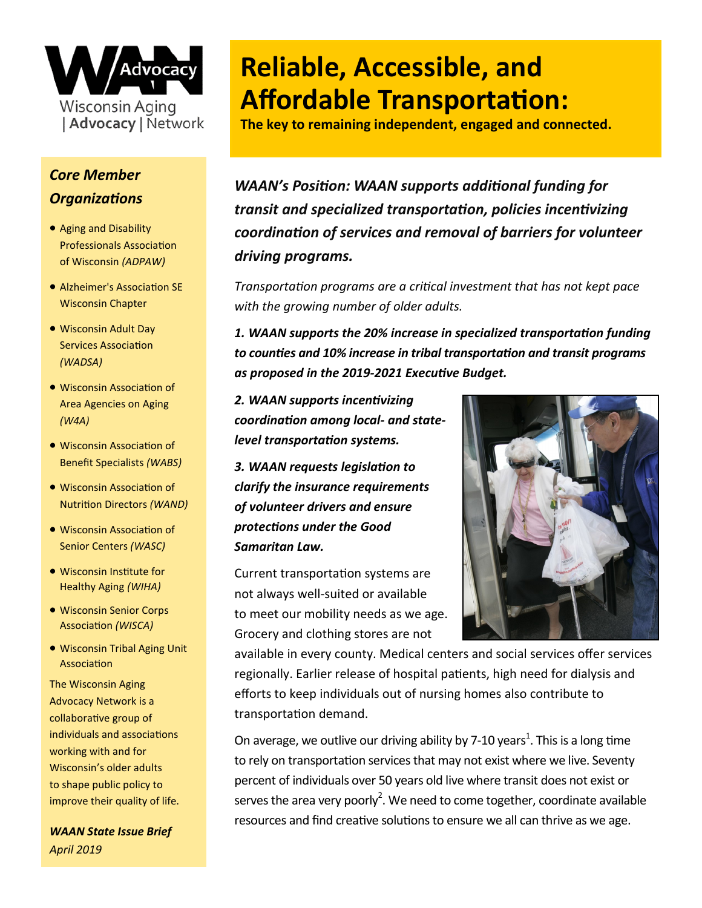

## *Core Member Organizations*

- Aging and Disability Professionals Association of Wisconsin *(ADPAW)*
- Alzheimer's Association SE Wisconsin Chapter
- Wisconsin Adult Day Services Association *(WADSA)*
- Wisconsin Association of Area Agencies on Aging *(W4A)*
- Wisconsin Association of Benefit Specialists *(WABS)*
- Wisconsin Association of Nutrition Directors *(WAND)*
- Wisconsin Association of Senior Centers *(WASC)*
- Wisconsin Institute for Healthy Aging *(WIHA)*
- Wisconsin Senior Corps Association *(WISCA)*
- Wisconsin Tribal Aging Unit Association

The Wisconsin Aging Advocacy Network is a collaborative group of individuals and associations working with and for Wisconsin's older adults to shape public policy to improve their quality of life.

*WAAN State Issue Brief April 2019*

## **Reliable, Accessible, and Affordable Transportation:**

**The key to remaining independent, engaged and connected.**

*WAAN's Position: WAAN supports additional funding for transit and specialized transportation, policies incentivizing coordination of services and removal of barriers for volunteer driving programs.*

*Transportation programs are a critical investment that has not kept pace with the growing number of older adults.*

*1. WAAN supports the 20% increase in specialized transportation funding to counties and 10% increase in tribal transportation and transit programs as proposed in the 2019-2021 Executive Budget.*

*2. WAAN supports incentivizing coordination among local- and statelevel transportation systems.* 

*3. WAAN requests legislation to clarify the insurance requirements of volunteer drivers and ensure protections under the Good Samaritan Law.* 

Current transportation systems are not always well-suited or available to meet our mobility needs as we age. Grocery and clothing stores are not



available in every county. Medical centers and social services offer services regionally. Earlier release of hospital patients, high need for dialysis and efforts to keep individuals out of nursing homes also contribute to transportation demand.

On average, we outlive our driving ability by 7-10 years<sup>1</sup>. This is a long time to rely on transportation services that may not exist where we live. Seventy percent of individuals over 50 years old live where transit does not exist or serves the area very poorly<sup>2</sup>. We need to come together, coordinate available resources and find creative solutions to ensure we all can thrive as we age.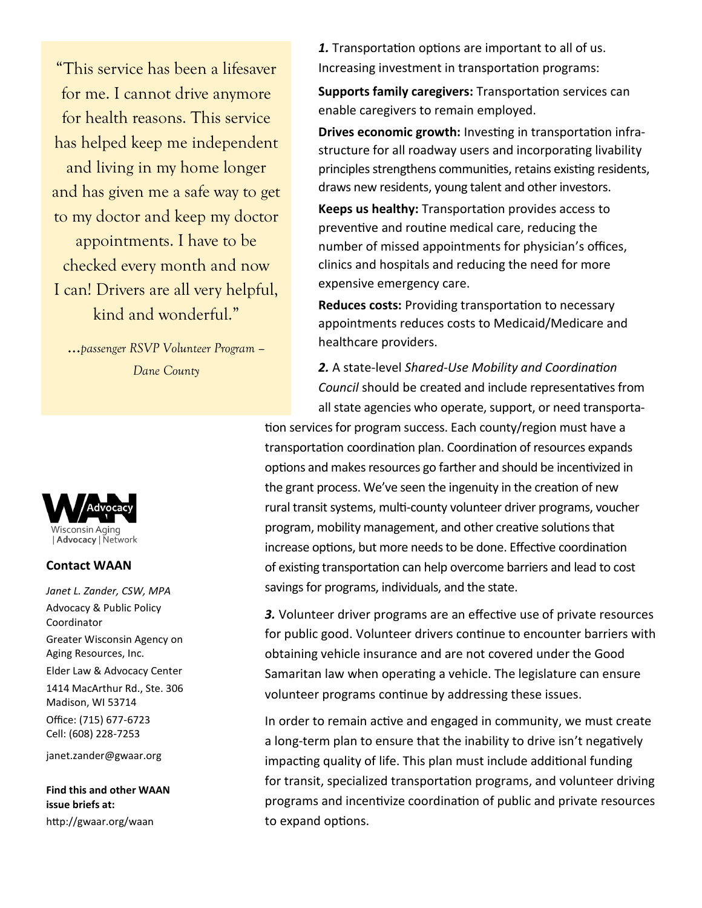"This service has been a lifesaver for me. I cannot drive anymore for health reasons. This service has helped keep me independent and living in my home longer and has given me a safe way to get to my doctor and keep my doctor appointments. I have to be checked every month and now I can! Drivers are all very helpful, kind and wonderful."

…*passenger RSVP Volunteer Program – Dane County*



## **Contact WAAN**

*Janet L. Zander, CSW, MPA* Advocacy & Public Policy Coordinator Greater Wisconsin Agency on Aging Resources, Inc. Elder Law & Advocacy Center 1414 MacArthur Rd., Ste. 306 Madison, WI 53714 Office: (715) 677-6723 Cell: (608) 228-7253 janet.zander@gwaar.org

**Find this and other WAAN issue briefs at:** http://gwaar.org/waan

*1.* Transportation options are important to all of us. Increasing investment in transportation programs:

**Supports family caregivers:** Transportation services can enable caregivers to remain employed.

**Drives economic growth:** Investing in transportation infrastructure for all roadway users and incorporating livability principles strengthens communities, retains existing residents, draws new residents, young talent and other investors.

**Keeps us healthy:** Transportation provides access to preventive and routine medical care, reducing the number of missed appointments for physician's offices, clinics and hospitals and reducing the need for more expensive emergency care.

**Reduces costs:** Providing transportation to necessary appointments reduces costs to Medicaid/Medicare and healthcare providers.

*2.* A state-level *Shared-Use Mobility and Coordination Council* should be created and include representatives from all state agencies who operate, support, or need transporta-

tion services for program success. Each county/region must have a transportation coordination plan. Coordination of resources expands options and makes resources go farther and should be incentivized in the grant process. We've seen the ingenuity in the creation of new rural transit systems, multi-county volunteer driver programs, voucher program, mobility management, and other creative solutions that increase options, but more needs to be done. Effective coordination of existing transportation can help overcome barriers and lead to cost savings for programs, individuals, and the state.

*3.* Volunteer driver programs are an effective use of private resources for public good. Volunteer drivers continue to encounter barriers with obtaining vehicle insurance and are not covered under the Good Samaritan law when operating a vehicle. The legislature can ensure volunteer programs continue by addressing these issues.

In order to remain active and engaged in community, we must create a long-term plan to ensure that the inability to drive isn't negatively impacting quality of life. This plan must include additional funding for transit, specialized transportation programs, and volunteer driving programs and incentivize coordination of public and private resources to expand options.